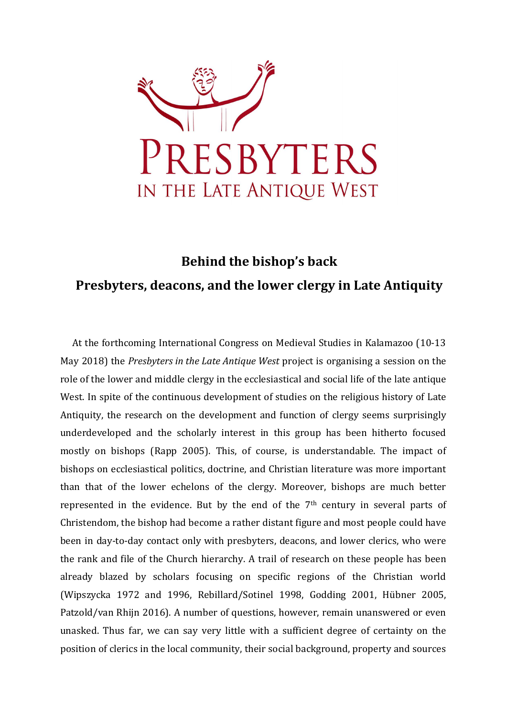

## Behind the bishop's back Presbyters, deacons, and the lower clergy in Late Antiquity

At the forthcoming International Congress on Medieval Studies in Kalamazoo (10-13 May 2018) the Presbyters in the Late Antique West project is organising a session on the role of the lower and middle clergy in the ecclesiastical and social life of the late antique West. In spite of the continuous development of studies on the religious history of Late Antiquity, the research on the development and function of clergy seems surprisingly underdeveloped and the scholarly interest in this group has been hitherto focused mostly on bishops (Rapp 2005). This, of course, is understandable. The impact of bishops on ecclesiastical politics, doctrine, and Christian literature was more important than that of the lower echelons of the clergy. Moreover, bishops are much better represented in the evidence. But by the end of the 7th century in several parts of Christendom, the bishop had become a rather distant figure and most people could have been in day-to-day contact only with presbyters, deacons, and lower clerics, who were the rank and file of the Church hierarchy. A trail of research on these people has been already blazed by scholars focusing on specific regions of the Christian world (Wipszycka 1972 and 1996, Rebillard/Sotinel 1998, Godding 2001, Hübner 2005, Patzold/van Rhijn 2016). A number of questions, however, remain unanswered or even unasked. Thus far, we can say very little with a sufficient degree of certainty on the position of clerics in the local community, their social background, property and sources